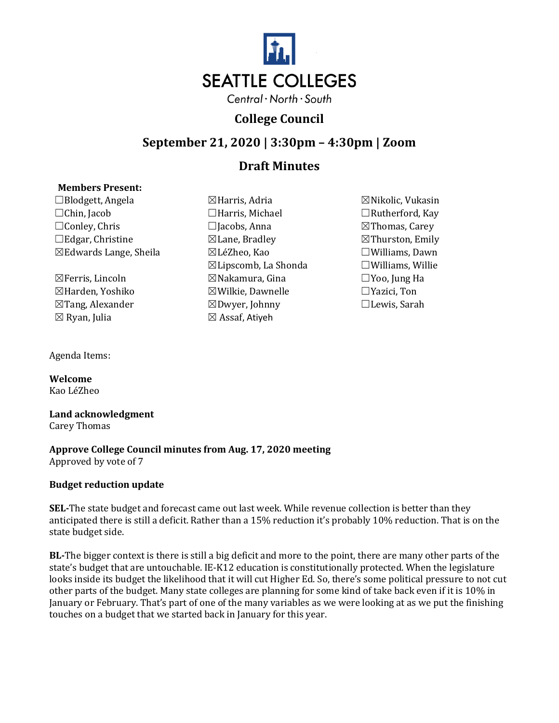

# **College Council**

### **September 21, 2020 | 3:30pm – 4:30pm | Zoom**

## **Draft Minutes**

#### **Members Present:**

☐Blodgett, Angela ☒Harris, Adria ☒Nikolic, Vukasin ☐Chin, Jacob ☐Harris, Michael ☐Rutherford, Kay ☐Edgar, Christine ☒Lane, Bradley ☒Thurston, Emily  $\boxtimes$ Edwards Lange, Sheila

☒Tang, Alexander ☒Dwyer, Johnny ☐Lewis, Sarah

- $\boxtimes$ Lipscomb, La Shonda  $\square$ Williams, Willie ☒Ferris, Lincoln ☒Nakamura, Gina ☐Yoo, Jung Ha ☒Harden, Yoshiko ☒Wilkie, Dawnelle ☐Yazici, Ton  $\boxtimes$  Assaf, Atiyeh
- ⊠Thomas, Carey

Agenda Items:

**Welcome** Kao LéZheo

**Land acknowledgment** Carey Thomas

**Approve College Council minutes from Aug. 17, 2020 meeting**  Approved by vote of 7

#### **Budget reduction update**

**SEL-**The state budget and forecast came out last week. While revenue collection is better than they anticipated there is still a deficit. Rather than a 15% reduction it's probably 10% reduction. That is on the state budget side.

**BL-**The bigger context is there is still a big deficit and more to the point, there are many other parts of the state's budget that are untouchable. IE-K12 education is constitutionally protected. When the legislature looks inside its budget the likelihood that it will cut Higher Ed. So, there's some political pressure to not cut other parts of the budget. Many state colleges are planning for some kind of take back even if it is 10% in January or February. That's part of one of the many variables as we were looking at as we put the finishing touches on a budget that we started back in January for this year.